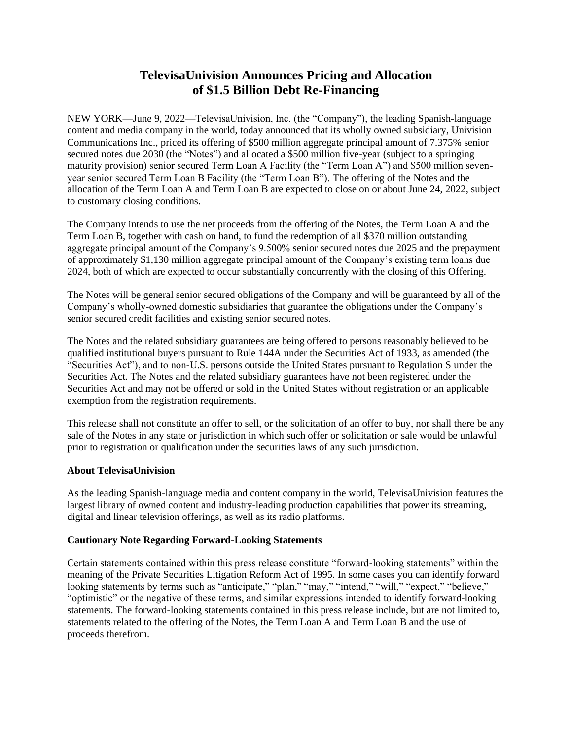## **TelevisaUnivision Announces Pricing and Allocation of \$1.5 Billion Debt Re-Financing**

NEW YORK—June 9, 2022—TelevisaUnivision, Inc. (the "Company"), the leading Spanish-language content and media company in the world, today announced that its wholly owned subsidiary, Univision Communications Inc., priced its offering of \$500 million aggregate principal amount of 7.375% senior secured notes due 2030 (the "Notes") and allocated a \$500 million five-year (subject to a springing maturity provision) senior secured Term Loan A Facility (the "Term Loan A") and \$500 million sevenyear senior secured Term Loan B Facility (the "Term Loan B"). The offering of the Notes and the allocation of the Term Loan A and Term Loan B are expected to close on or about June 24, 2022, subject to customary closing conditions.

The Company intends to use the net proceeds from the offering of the Notes, the Term Loan A and the Term Loan B, together with cash on hand, to fund the redemption of all \$370 million outstanding aggregate principal amount of the Company's 9.500% senior secured notes due 2025 and the prepayment of approximately \$1,130 million aggregate principal amount of the Company's existing term loans due 2024, both of which are expected to occur substantially concurrently with the closing of this Offering.

The Notes will be general senior secured obligations of the Company and will be guaranteed by all of the Company's wholly-owned domestic subsidiaries that guarantee the obligations under the Company's senior secured credit facilities and existing senior secured notes.

The Notes and the related subsidiary guarantees are being offered to persons reasonably believed to be qualified institutional buyers pursuant to Rule 144A under the Securities Act of 1933, as amended (the "Securities Act"), and to non-U.S. persons outside the United States pursuant to Regulation S under the Securities Act. The Notes and the related subsidiary guarantees have not been registered under the Securities Act and may not be offered or sold in the United States without registration or an applicable exemption from the registration requirements.

This release shall not constitute an offer to sell, or the solicitation of an offer to buy, nor shall there be any sale of the Notes in any state or jurisdiction in which such offer or solicitation or sale would be unlawful prior to registration or qualification under the securities laws of any such jurisdiction.

## **About TelevisaUnivision**

As the leading Spanish-language media and content company in the world, TelevisaUnivision features the largest library of owned content and industry-leading production capabilities that power its streaming, digital and linear television offerings, as well as its radio platforms.

## **Cautionary Note Regarding Forward-Looking Statements**

Certain statements contained within this press release constitute "forward-looking statements" within the meaning of the Private Securities Litigation Reform Act of 1995. In some cases you can identify forward looking statements by terms such as "anticipate," "plan," "may," "intend," "will," "expect," "believe," "optimistic" or the negative of these terms, and similar expressions intended to identify forward-looking statements. The forward-looking statements contained in this press release include, but are not limited to, statements related to the offering of the Notes, the Term Loan A and Term Loan B and the use of proceeds therefrom.